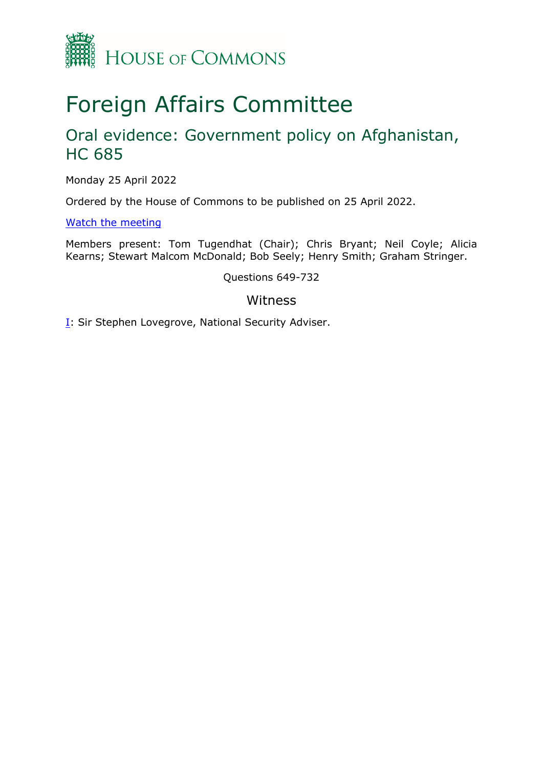

# Foreign Affairs Committee

# Oral evidence: Government policy on Afghanistan, HC 685

Monday 25 April 2022

Ordered by the House of Commons to be published on 25 April 2022.

[Watch](https://parliamentlive.tv/event/index/6f701f02-fdba-47d6-84dc-cb58e4bd75c6) [the](https://parliamentlive.tv/event/index/6f701f02-fdba-47d6-84dc-cb58e4bd75c6) [meeting](https://parliamentlive.tv/event/index/6f701f02-fdba-47d6-84dc-cb58e4bd75c6)

Members present: Tom Tugendhat (Chair); Chris Bryant; Neil Coyle; Alicia Kearns; Stewart Malcom McDonald; Bob Seely; Henry Smith; Graham Stringer.

Questions 649-732

### Witness

**[I:](#page-1-0) Sir Stephen Lovegrove, National Security Adviser.**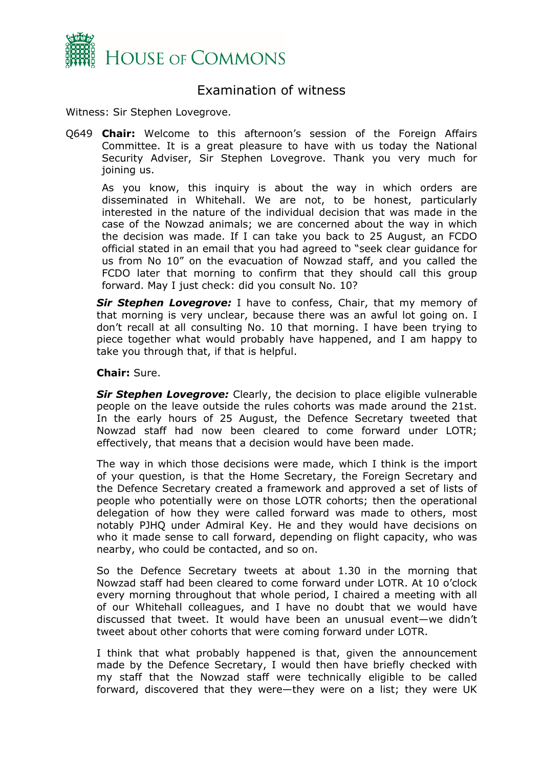

## <span id="page-1-0"></span>Examination of witness

Witness: Sir Stephen Lovegrove.

Q649 **Chair:** Welcome to this afternoon's session of the Foreign Affairs Committee. It is a great pleasure to have with us today the National Security Adviser, Sir Stephen Lovegrove. Thank you very much for joining us.

As you know, this inquiry is about the way in which orders are disseminated in Whitehall. We are not, to be honest, particularly interested in the nature of the individual decision that was made in the case of the Nowzad animals; we are concerned about the way in which the decision was made. If I can take you back to 25 August, an FCDO official stated in an email that you had agreed to "seek clear guidance for us from No 10" on the evacuation of Nowzad staff, and you called the FCDO later that morning to confirm that they should call this group forward. May I just check: did you consult No. 10?

*Sir Stephen Lovegrove:* I have to confess, Chair, that my memory of that morning is very unclear, because there was an awful lot going on. I don't recall at all consulting No. 10 that morning. I have been trying to piece together what would probably have happened, and I am happy to take you through that, if that is helpful.

#### **Chair:** Sure.

*Sir Stephen Lovegrove:* Clearly, the decision to place eligible vulnerable people on the leave outside the rules cohorts was made around the 21st. In the early hours of 25 August, the Defence Secretary tweeted that Nowzad staff had now been cleared to come forward under LOTR; effectively, that means that a decision would have been made.

The way in which those decisions were made, which I think is the import of your question, is that the Home Secretary, the Foreign Secretary and the Defence Secretary created a framework and approved a set of lists of people who potentially were on those LOTR cohorts; then the operational delegation of how they were called forward was made to others, most notably PJHQ under Admiral Key. He and they would have decisions on who it made sense to call forward, depending on flight capacity, who was nearby, who could be contacted, and so on.

So the Defence Secretary tweets at about 1.30 in the morning that Nowzad staff had been cleared to come forward under LOTR. At 10 o'clock every morning throughout that whole period, I chaired a meeting with all of our Whitehall colleagues, and I have no doubt that we would have discussed that tweet. It would have been an unusual event—we didn't tweet about other cohorts that were coming forward under LOTR.

I think that what probably happened is that, given the announcement made by the Defence Secretary, I would then have briefly checked with my staff that the Nowzad staff were technically eligible to be called forward, discovered that they were—they were on a list; they were UK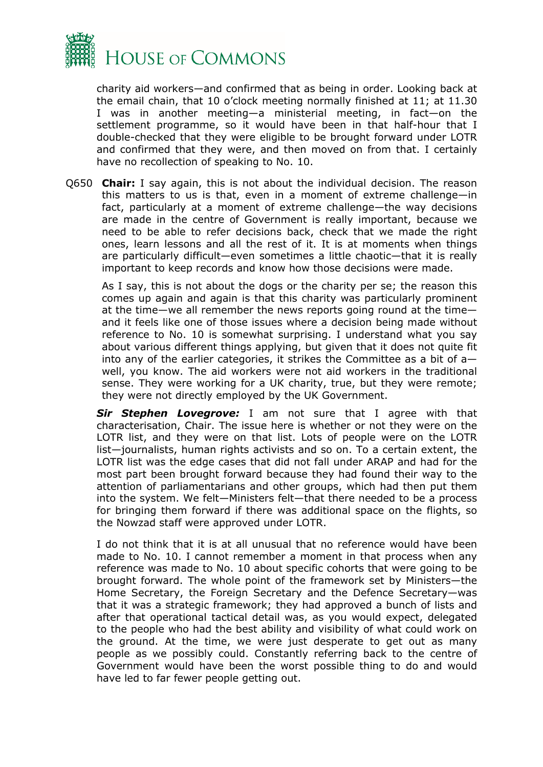

charity aid workers—and confirmed that as being in order. Looking back at the email chain, that 10 o'clock meeting normally finished at 11; at 11.30 I was in another meeting—a ministerial meeting, in fact—on the settlement programme, so it would have been in that half-hour that I double-checked that they were eligible to be brought forward under LOTR and confirmed that they were, and then moved on from that. I certainly have no recollection of speaking to No. 10.

Q650 **Chair:** I say again, this is not about the individual decision. The reason this matters to us is that, even in a moment of extreme challenge—in fact, particularly at a moment of extreme challenge—the way decisions are made in the centre of Government is really important, because we need to be able to refer decisions back, check that we made the right ones, learn lessons and all the rest of it. It is at moments when things are particularly difficult—even sometimes a little chaotic—that it is really important to keep records and know how those decisions were made.

As I say, this is not about the dogs or the charity per se; the reason this comes up again and again is that this charity was particularly prominent at the time—we all remember the news reports going round at the time and it feels like one of those issues where a decision being made without reference to No. 10 is somewhat surprising. I understand what you say about various different things applying, but given that it does not quite fit into any of the earlier categories, it strikes the Committee as a bit of a well, you know. The aid workers were not aid workers in the traditional sense. They were working for a UK charity, true, but they were remote; they were not directly employed by the UK Government.

*Sir Stephen Lovegrove:* I am not sure that I agree with that characterisation, Chair. The issue here is whether or not they were on the LOTR list, and they were on that list. Lots of people were on the LOTR list—journalists, human rights activists and so on. To a certain extent, the LOTR list was the edge cases that did not fall under ARAP and had for the most part been brought forward because they had found their way to the attention of parliamentarians and other groups, which had then put them into the system. We felt—Ministers felt—that there needed to be a process for bringing them forward if there was additional space on the flights, so the Nowzad staff were approved under LOTR.

I do not think that it is at all unusual that no reference would have been made to No. 10. I cannot remember a moment in that process when any reference was made to No. 10 about specific cohorts that were going to be brought forward. The whole point of the framework set by Ministers—the Home Secretary, the Foreign Secretary and the Defence Secretary—was that it was a strategic framework; they had approved a bunch of lists and after that operational tactical detail was, as you would expect, delegated to the people who had the best ability and visibility of what could work on the ground. At the time, we were just desperate to get out as many people as we possibly could. Constantly referring back to the centre of Government would have been the worst possible thing to do and would have led to far fewer people getting out.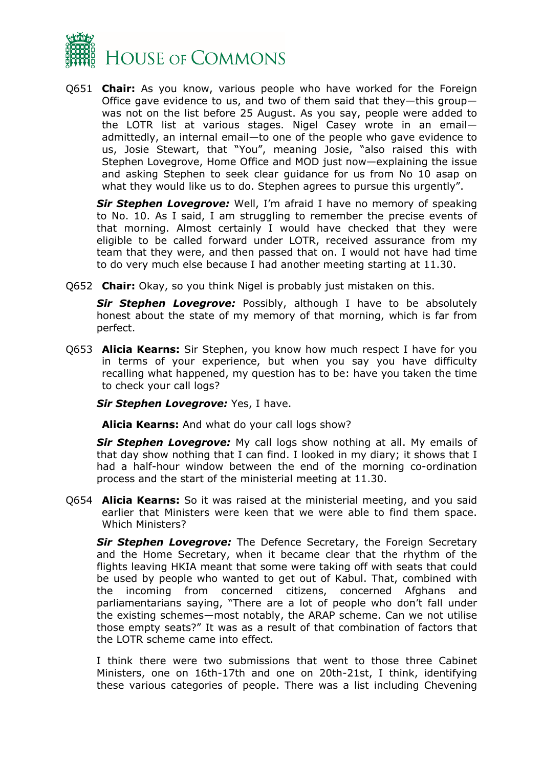

Q651 **Chair:** As you know, various people who have worked for the Foreign Office gave evidence to us, and two of them said that they—this group was not on the list before 25 August. As you say, people were added to the LOTR list at various stages. Nigel Casey wrote in an email admittedly, an internal email—to one of the people who gave evidence to us, Josie Stewart, that "You", meaning Josie, "also raised this with Stephen Lovegrove, Home Office and MOD just now—explaining the issue and asking Stephen to seek clear guidance for us from No 10 asap on what they would like us to do. Stephen agrees to pursue this urgently".

*Sir Stephen Lovegrove:* Well, I'm afraid I have no memory of speaking to No. 10. As I said, I am struggling to remember the precise events of that morning. Almost certainly I would have checked that they were eligible to be called forward under LOTR, received assurance from my team that they were, and then passed that on. I would not have had time to do very much else because I had another meeting starting at 11.30.

Q652 **Chair:** Okay, so you think Nigel is probably just mistaken on this.

*Sir Stephen Lovegrove:* Possibly, although I have to be absolutely honest about the state of my memory of that morning, which is far from perfect.

Q653 **Alicia Kearns:** Sir Stephen, you know how much respect I have for you in terms of your experience, but when you say you have difficulty recalling what happened, my question has to be: have you taken the time to check your call logs?

*Sir Stephen Lovegrove:* Yes, I have.

**Alicia Kearns:** And what do your call logs show?

*Sir Stephen Lovegrove:* My call logs show nothing at all. My emails of that day show nothing that I can find. I looked in my diary; it shows that I had a half-hour window between the end of the morning co-ordination process and the start of the ministerial meeting at 11.30.

Q654 **Alicia Kearns:** So it was raised at the ministerial meeting, and you said earlier that Ministers were keen that we were able to find them space. Which Ministers?

*Sir Stephen Lovegrove:* The Defence Secretary, the Foreign Secretary and the Home Secretary, when it became clear that the rhythm of the flights leaving HKIA meant that some were taking off with seats that could be used by people who wanted to get out of Kabul. That, combined with the incoming from concerned citizens, concerned Afghans and parliamentarians saying, "There are a lot of people who don't fall under the existing schemes—most notably, the ARAP scheme. Can we not utilise those empty seats?" It was as a result of that combination of factors that the LOTR scheme came into effect.

I think there were two submissions that went to those three Cabinet Ministers, one on 16th-17th and one on 20th-21st, I think, identifying these various categories of people. There was a list including Chevening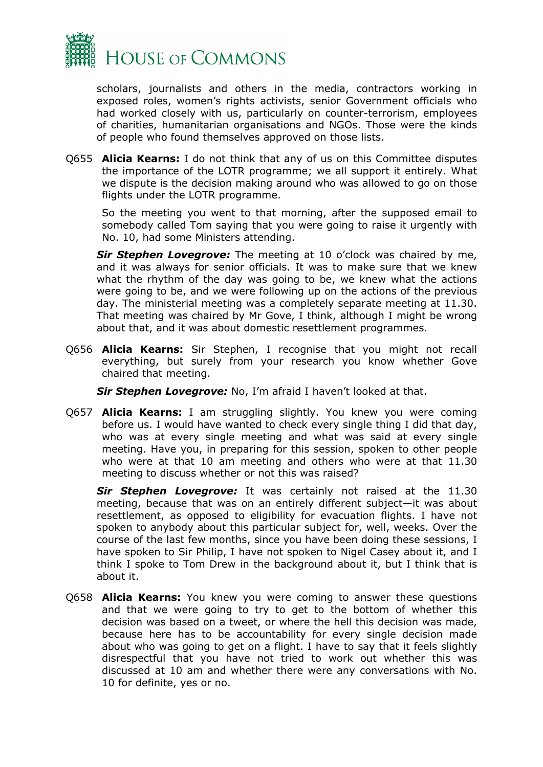

scholars, journalists and others in the media, contractors working in exposed roles, women's rights activists, senior Government officials who had worked closely with us, particularly on counter-terrorism, employees of charities, humanitarian organisations and NGOs. Those were the kinds of people who found themselves approved on those lists.

Q655 **Alicia Kearns:** I do not think that any of us on this Committee disputes the importance of the LOTR programme; we all support it entirely. What we dispute is the decision making around who was allowed to go on those flights under the LOTR programme.

So the meeting you went to that morning, after the supposed email to somebody called Tom saying that you were going to raise it urgently with No. 10, had some Ministers attending.

*Sir Stephen Lovegrove:* The meeting at 10 o'clock was chaired by me, and it was always for senior officials. It was to make sure that we knew what the rhythm of the day was going to be, we knew what the actions were going to be, and we were following up on the actions of the previous day. The ministerial meeting was a completely separate meeting at 11.30. That meeting was chaired by Mr Gove, I think, although I might be wrong about that, and it was about domestic resettlement programmes.

Q656 **Alicia Kearns:** Sir Stephen, I recognise that you might not recall everything, but surely from your research you know whether Gove chaired that meeting.

*Sir Stephen Lovegrove:* No, I'm afraid I haven't looked at that.

Q657 **Alicia Kearns:** I am struggling slightly. You knew you were coming before us. I would have wanted to check every single thing I did that day, who was at every single meeting and what was said at every single meeting. Have you, in preparing for this session, spoken to other people who were at that 10 am meeting and others who were at that 11.30 meeting to discuss whether or not this was raised?

*Sir Stephen Lovegrove:* It was certainly not raised at the 11.30 meeting, because that was on an entirely different subject—it was about resettlement, as opposed to eligibility for evacuation flights. I have not spoken to anybody about this particular subject for, well, weeks. Over the course of the last few months, since you have been doing these sessions, I have spoken to Sir Philip, I have not spoken to Nigel Casey about it, and I think I spoke to Tom Drew in the background about it, but I think that is about it.

Q658 **Alicia Kearns:** You knew you were coming to answer these questions and that we were going to try to get to the bottom of whether this decision was based on a tweet, or where the hell this decision was made, because here has to be accountability for every single decision made about who was going to get on a flight. I have to say that it feels slightly disrespectful that you have not tried to work out whether this was discussed at 10 am and whether there were any conversations with No. 10 for definite, yes or no.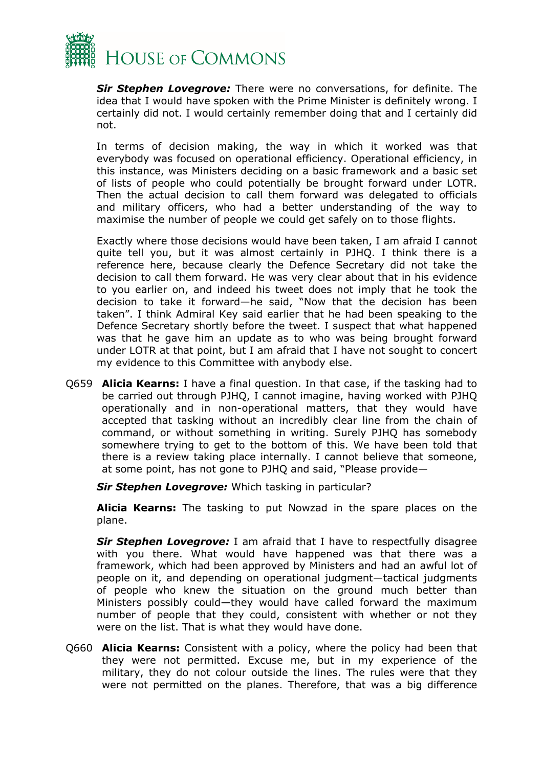

*Sir Stephen Lovegrove:* There were no conversations, for definite. The idea that I would have spoken with the Prime Minister is definitely wrong. I certainly did not. I would certainly remember doing that and I certainly did not.

In terms of decision making, the way in which it worked was that everybody was focused on operational efficiency. Operational efficiency, in this instance, was Ministers deciding on a basic framework and a basic set of lists of people who could potentially be brought forward under LOTR. Then the actual decision to call them forward was delegated to officials and military officers, who had a better understanding of the way to maximise the number of people we could get safely on to those flights.

Exactly where those decisions would have been taken, I am afraid I cannot quite tell you, but it was almost certainly in PJHQ. I think there is a reference here, because clearly the Defence Secretary did not take the decision to call them forward. He was very clear about that in his evidence to you earlier on, and indeed his tweet does not imply that he took the decision to take it forward—he said, "Now that the decision has been taken". I think Admiral Key said earlier that he had been speaking to the Defence Secretary shortly before the tweet. I suspect that what happened was that he gave him an update as to who was being brought forward under LOTR at that point, but I am afraid that I have not sought to concert my evidence to this Committee with anybody else.

Q659 **Alicia Kearns:** I have a final question. In that case, if the tasking had to be carried out through PJHQ, I cannot imagine, having worked with PJHQ operationally and in non-operational matters, that they would have accepted that tasking without an incredibly clear line from the chain of command, or without something in writing. Surely PJHQ has somebody somewhere trying to get to the bottom of this. We have been told that there is a review taking place internally. I cannot believe that someone, at some point, has not gone to PJHQ and said, "Please provide—

*Sir Stephen Lovegrove:* Which tasking in particular?

**Alicia Kearns:** The tasking to put Nowzad in the spare places on the plane.

*Sir Stephen Lovegrove:* I am afraid that I have to respectfully disagree with you there. What would have happened was that there was a framework, which had been approved by Ministers and had an awful lot of people on it, and depending on operational judgment—tactical judgments of people who knew the situation on the ground much better than Ministers possibly could—they would have called forward the maximum number of people that they could, consistent with whether or not they were on the list. That is what they would have done.

Q660 **Alicia Kearns:** Consistent with a policy, where the policy had been that they were not permitted. Excuse me, but in my experience of the military, they do not colour outside the lines. The rules were that they were not permitted on the planes. Therefore, that was a big difference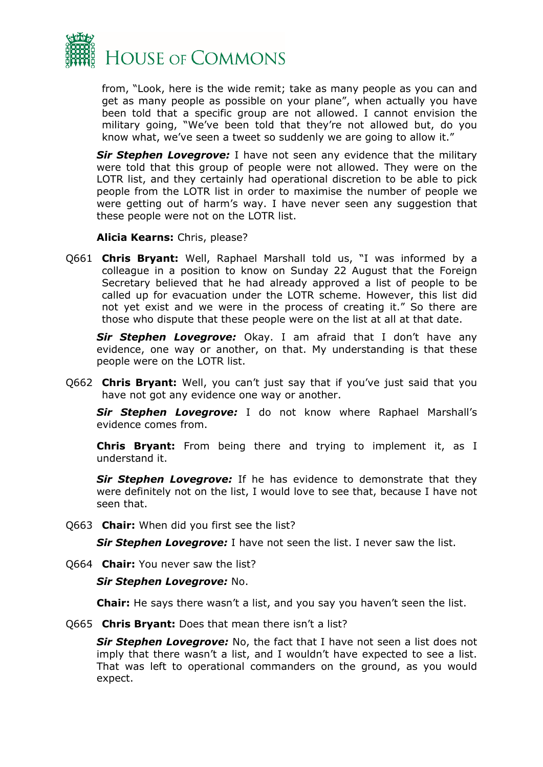

from, "Look, here is the wide remit; take as many people as you can and get as many people as possible on your plane", when actually you have been told that a specific group are not allowed. I cannot envision the military going, "We've been told that they're not allowed but, do you know what, we've seen a tweet so suddenly we are going to allow it."

*Sir Stephen Lovegrove:* I have not seen any evidence that the military were told that this group of people were not allowed. They were on the LOTR list, and they certainly had operational discretion to be able to pick people from the LOTR list in order to maximise the number of people we were getting out of harm's way. I have never seen any suggestion that these people were not on the LOTR list.

**Alicia Kearns:** Chris, please?

Q661 **Chris Bryant:** Well, Raphael Marshall told us, "I was informed by a colleague in a position to know on Sunday 22 August that the Foreign Secretary believed that he had already approved a list of people to be called up for evacuation under the LOTR scheme. However, this list did not yet exist and we were in the process of creating it." So there are those who dispute that these people were on the list at all at that date.

*Sir Stephen Lovegrove:* Okay. I am afraid that I don't have any evidence, one way or another, on that. My understanding is that these people were on the LOTR list.

Q662 **Chris Bryant:** Well, you can't just say that if you've just said that you have not got any evidence one way or another.

*Sir Stephen Lovegrove:* I do not know where Raphael Marshall's evidence comes from.

**Chris Bryant:** From being there and trying to implement it, as I understand it.

*Sir Stephen Lovegrove:* If he has evidence to demonstrate that they were definitely not on the list, I would love to see that, because I have not seen that.

Q663 **Chair:** When did you first see the list?

*Sir Stephen Lovegrove:* I have not seen the list. I never saw the list.

Q664 **Chair:** You never saw the list?

#### *Sir Stephen Lovegrove:* No.

**Chair:** He says there wasn't a list, and you say you haven't seen the list.

Q665 **Chris Bryant:** Does that mean there isn't a list?

*Sir Stephen Lovegrove:* No, the fact that I have not seen a list does not imply that there wasn't a list, and I wouldn't have expected to see a list. That was left to operational commanders on the ground, as you would expect.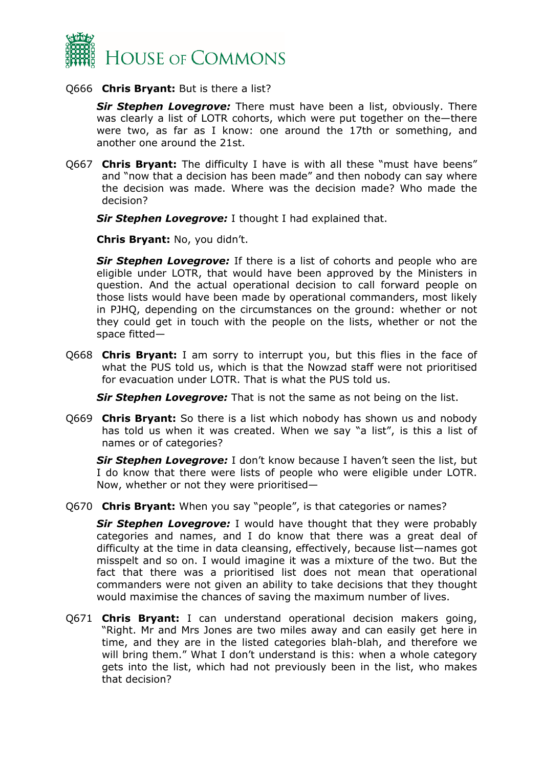

#### Q666 **Chris Bryant:** But is there a list?

*Sir Stephen Lovegrove:* There must have been a list, obviously. There was clearly a list of LOTR cohorts, which were put together on the—there were two, as far as I know: one around the 17th or something, and another one around the 21st.

Q667 **Chris Bryant:** The difficulty I have is with all these "must have beens" and "now that a decision has been made" and then nobody can say where the decision was made. Where was the decision made? Who made the decision?

*Sir Stephen Lovegrove:* I thought I had explained that.

**Chris Bryant:** No, you didn't.

*Sir Stephen Lovegrove:* If there is a list of cohorts and people who are eligible under LOTR, that would have been approved by the Ministers in question. And the actual operational decision to call forward people on those lists would have been made by operational commanders, most likely in PJHQ, depending on the circumstances on the ground: whether or not they could get in touch with the people on the lists, whether or not the space fitted—

Q668 **Chris Bryant:** I am sorry to interrupt you, but this flies in the face of what the PUS told us, which is that the Nowzad staff were not prioritised for evacuation under LOTR. That is what the PUS told us.

*Sir Stephen Lovegrove:* That is not the same as not being on the list.

Q669 **Chris Bryant:** So there is a list which nobody has shown us and nobody has told us when it was created. When we say "a list", is this a list of names or of categories?

*Sir Stephen Lovegrove:* I don't know because I haven't seen the list, but I do know that there were lists of people who were eligible under LOTR. Now, whether or not they were prioritised—

Q670 **Chris Bryant:** When you say "people", is that categories or names?

*Sir Stephen Lovegrove:* I would have thought that they were probably categories and names, and I do know that there was a great deal of difficulty at the time in data cleansing, effectively, because list—names got misspelt and so on. I would imagine it was a mixture of the two. But the fact that there was a prioritised list does not mean that operational commanders were not given an ability to take decisions that they thought would maximise the chances of saving the maximum number of lives.

Q671 **Chris Bryant:** I can understand operational decision makers going, "Right. Mr and Mrs Jones are two miles away and can easily get here in time, and they are in the listed categories blah-blah, and therefore we will bring them." What I don't understand is this: when a whole category gets into the list, which had not previously been in the list, who makes that decision?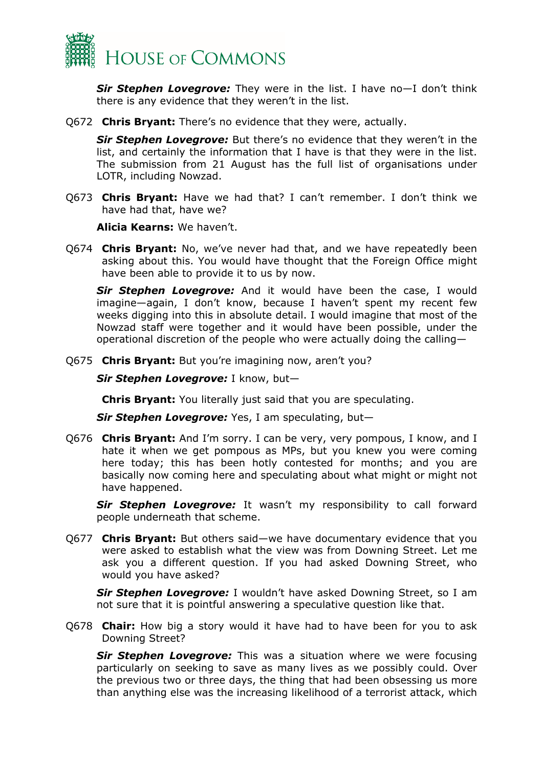

*Sir Stephen Lovegrove:* They were in the list. I have no—I don't think there is any evidence that they weren't in the list.

Q672 **Chris Bryant:** There's no evidence that they were, actually.

*Sir Stephen Lovegrove:* But there's no evidence that they weren't in the list, and certainly the information that I have is that they were in the list. The submission from 21 August has the full list of organisations under LOTR, including Nowzad.

Q673 **Chris Bryant:** Have we had that? I can't remember. I don't think we have had that, have we?

**Alicia Kearns:** We haven't.

Q674 **Chris Bryant:** No, we've never had that, and we have repeatedly been asking about this. You would have thought that the Foreign Office might have been able to provide it to us by now.

*Sir Stephen Lovegrove:* And it would have been the case, I would imagine—again, I don't know, because I haven't spent my recent few weeks digging into this in absolute detail. I would imagine that most of the Nowzad staff were together and it would have been possible, under the operational discretion of the people who were actually doing the calling—

Q675 **Chris Bryant:** But you're imagining now, aren't you?

*Sir Stephen Lovegrove:* I know, but—

**Chris Bryant:** You literally just said that you are speculating.

*Sir Stephen Lovegrove:* Yes, I am speculating, but—

Q676 **Chris Bryant:** And I'm sorry. I can be very, very pompous, I know, and I hate it when we get pompous as MPs, but you knew you were coming here today; this has been hotly contested for months; and you are basically now coming here and speculating about what might or might not have happened.

*Sir Stephen Lovegrove:* It wasn't my responsibility to call forward people underneath that scheme.

Q677 **Chris Bryant:** But others said—we have documentary evidence that you were asked to establish what the view was from Downing Street. Let me ask you a different question. If you had asked Downing Street, who would you have asked?

*Sir Stephen Lovegrove:* I wouldn't have asked Downing Street, so I am not sure that it is pointful answering a speculative question like that.

Q678 **Chair:** How big a story would it have had to have been for you to ask Downing Street?

*Sir Stephen Lovegrove:* This was a situation where we were focusing particularly on seeking to save as many lives as we possibly could. Over the previous two or three days, the thing that had been obsessing us more than anything else was the increasing likelihood of a terrorist attack, which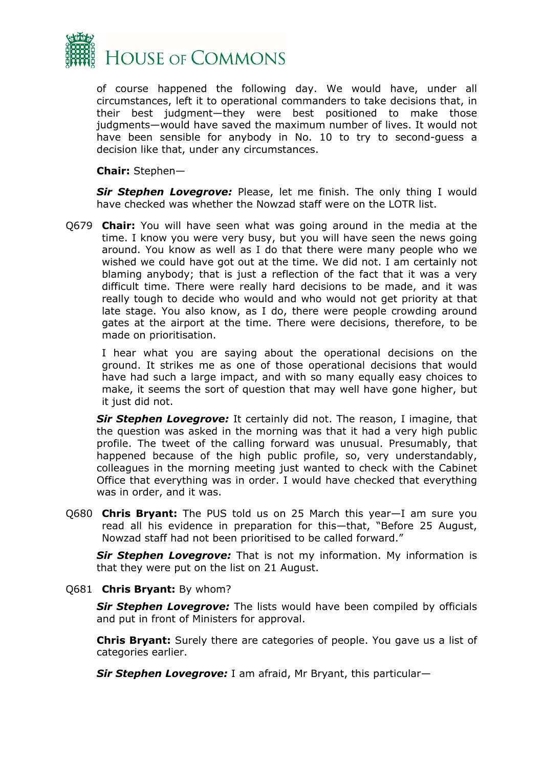

of course happened the following day. We would have, under all circumstances, left it to operational commanders to take decisions that, in their best judgment—they were best positioned to make those judgments—would have saved the maximum number of lives. It would not have been sensible for anybody in No. 10 to try to second-guess a decision like that, under any circumstances.

**Chair:** Stephen—

**Sir Stephen Lovegrove:** Please, let me finish. The only thing I would have checked was whether the Nowzad staff were on the LOTR list.

Q679 **Chair:** You will have seen what was going around in the media at the time. I know you were very busy, but you will have seen the news going around. You know as well as I do that there were many people who we wished we could have got out at the time. We did not. I am certainly not blaming anybody; that is just a reflection of the fact that it was a very difficult time. There were really hard decisions to be made, and it was really tough to decide who would and who would not get priority at that late stage. You also know, as I do, there were people crowding around gates at the airport at the time. There were decisions, therefore, to be made on prioritisation.

I hear what you are saying about the operational decisions on the ground. It strikes me as one of those operational decisions that would have had such a large impact, and with so many equally easy choices to make, it seems the sort of question that may well have gone higher, but it just did not.

*Sir Stephen Lovegrove:* It certainly did not. The reason, I imagine, that the question was asked in the morning was that it had a very high public profile. The tweet of the calling forward was unusual. Presumably, that happened because of the high public profile, so, very understandably, colleagues in the morning meeting just wanted to check with the Cabinet Office that everything was in order. I would have checked that everything was in order, and it was.

Q680 **Chris Bryant:** The PUS told us on 25 March this year—I am sure you read all his evidence in preparation for this—that, "Before 25 August, Nowzad staff had not been prioritised to be called forward."

*Sir Stephen Lovegrove:* That is not my information. My information is that they were put on the list on 21 August.

Q681 **Chris Bryant:** By whom?

*Sir Stephen Lovegrove:* The lists would have been compiled by officials and put in front of Ministers for approval.

**Chris Bryant:** Surely there are categories of people. You gave us a list of categories earlier.

*Sir Stephen Lovegrove:* I am afraid, Mr Bryant, this particular—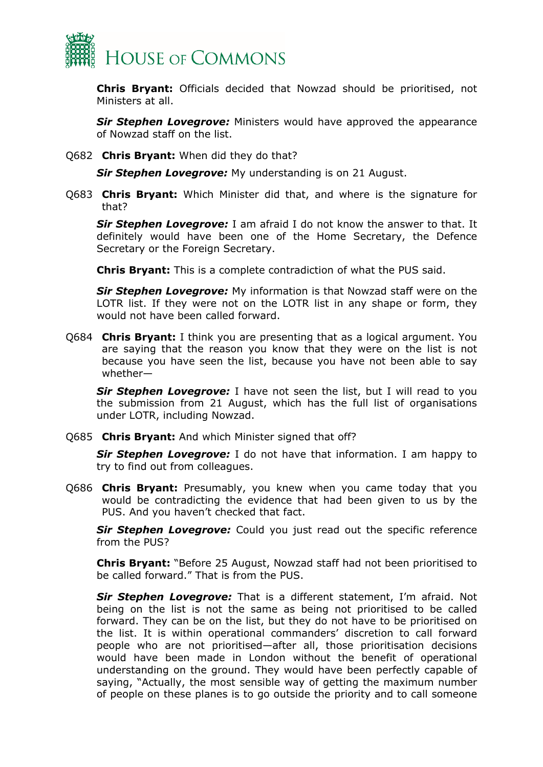

**Chris Bryant:** Officials decided that Nowzad should be prioritised, not Ministers at all.

**Sir Stephen Lovegrove:** Ministers would have approved the appearance of Nowzad staff on the list.

Q682 **Chris Bryant:** When did they do that?

*Sir Stephen Lovegrove:* My understanding is on 21 August.

Q683 **Chris Bryant:** Which Minister did that, and where is the signature for that?

*Sir Stephen Lovegrove:* I am afraid I do not know the answer to that. It definitely would have been one of the Home Secretary, the Defence Secretary or the Foreign Secretary.

**Chris Bryant:** This is a complete contradiction of what the PUS said.

*Sir Stephen Lovegrove:* My information is that Nowzad staff were on the LOTR list. If they were not on the LOTR list in any shape or form, they would not have been called forward.

Q684 **Chris Bryant:** I think you are presenting that as a logical argument. You are saying that the reason you know that they were on the list is not because you have seen the list, because you have not been able to say whether—

**Sir Stephen Lovegrove:** I have not seen the list, but I will read to you the submission from 21 August, which has the full list of organisations under LOTR, including Nowzad.

Q685 **Chris Bryant:** And which Minister signed that off?

*Sir Stephen Lovegrove:* I do not have that information. I am happy to try to find out from colleagues.

Q686 **Chris Bryant:** Presumably, you knew when you came today that you would be contradicting the evidence that had been given to us by the PUS. And you haven't checked that fact.

**Sir Stephen Lovegrove:** Could you just read out the specific reference from the PUS?

**Chris Bryant:** "Before 25 August, Nowzad staff had not been prioritised to be called forward." That is from the PUS.

*Sir Stephen Lovegrove:* That is a different statement, I'm afraid. Not being on the list is not the same as being not prioritised to be called forward. They can be on the list, but they do not have to be prioritised on the list. It is within operational commanders' discretion to call forward people who are not prioritised—after all, those prioritisation decisions would have been made in London without the benefit of operational understanding on the ground. They would have been perfectly capable of saying, "Actually, the most sensible way of getting the maximum number of people on these planes is to go outside the priority and to call someone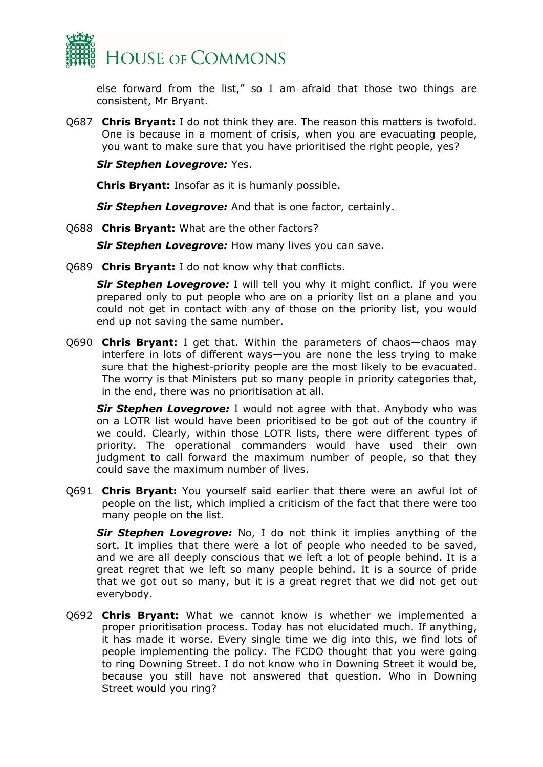

else forward from the list," so I am afraid that those two things are consistent, Mr Bryant.

Q687 **Chris Bryant:** I do not think they are. The reason this matters is twofold. One is because in a moment of crisis, when you are evacuating people, you want to make sure that you have prioritised the right people, yes?

*Sir Stephen Lovegrove:* Yes.

**Chris Bryant:** Insofar as it is humanly possible.

*Sir Stephen Lovegrove:* And that is one factor, certainly.

Q688 **Chris Bryant:** What are the other factors?

*Sir Stephen Lovegrove:* How many lives you can save.

Q689 **Chris Bryant:** I do not know why that conflicts.

**Sir Stephen Lovegrove:** I will tell you why it might conflict. If you were prepared only to put people who are on a priority list on a plane and you could not get in contact with any of those on the priority list, you would end up not saving the same number.

Q690 **Chris Bryant:** I get that. Within the parameters of chaos—chaos may interfere in lots of different ways—you are none the less trying to make sure that the highest-priority people are the most likely to be evacuated. The worry is that Ministers put so many people in priority categories that, in the end, there was no prioritisation at all.

*Sir Stephen Lovegrove:* I would not agree with that. Anybody who was on a LOTR list would have been prioritised to be got out of the country if we could. Clearly, within those LOTR lists, there were different types of priority. The operational commanders would have used their own judgment to call forward the maximum number of people, so that they could save the maximum number of lives.

Q691 **Chris Bryant:** You yourself said earlier that there were an awful lot of people on the list, which implied a criticism of the fact that there were too many people on the list.

*Sir Stephen Lovegrove:* No, I do not think it implies anything of the sort. It implies that there were a lot of people who needed to be saved, and we are all deeply conscious that we left a lot of people behind. It is a great regret that we left so many people behind. It is a source of pride that we got out so many, but it is a great regret that we did not get out everybody.

Q692 **Chris Bryant:** What we cannot know is whether we implemented a proper prioritisation process. Today has not elucidated much. If anything, it has made it worse. Every single time we dig into this, we find lots of people implementing the policy. The FCDO thought that you were going to ring Downing Street. I do not know who in Downing Street it would be, because you still have not answered that question. Who in Downing Street would you ring?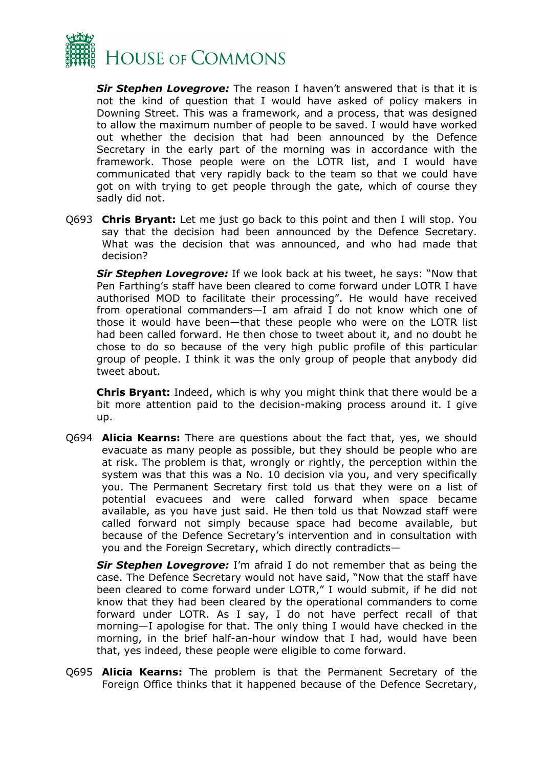

*Sir Stephen Lovegrove:* The reason I haven't answered that is that it is not the kind of question that I would have asked of policy makers in Downing Street. This was a framework, and a process, that was designed to allow the maximum number of people to be saved. I would have worked out whether the decision that had been announced by the Defence Secretary in the early part of the morning was in accordance with the framework. Those people were on the LOTR list, and I would have communicated that very rapidly back to the team so that we could have got on with trying to get people through the gate, which of course they sadly did not.

Q693 **Chris Bryant:** Let me just go back to this point and then I will stop. You say that the decision had been announced by the Defence Secretary. What was the decision that was announced, and who had made that decision?

*Sir Stephen Lovegrove:* If we look back at his tweet, he says: "Now that Pen Farthing's staff have been cleared to come forward under LOTR I have authorised MOD to facilitate their processing". He would have received from operational commanders—I am afraid I do not know which one of those it would have been—that these people who were on the LOTR list had been called forward. He then chose to tweet about it, and no doubt he chose to do so because of the very high public profile of this particular group of people. I think it was the only group of people that anybody did tweet about.

**Chris Bryant:** Indeed, which is why you might think that there would be a bit more attention paid to the decision-making process around it. I give up.

Q694 **Alicia Kearns:** There are questions about the fact that, yes, we should evacuate as many people as possible, but they should be people who are at risk. The problem is that, wrongly or rightly, the perception within the system was that this was a No. 10 decision via you, and very specifically you. The Permanent Secretary first told us that they were on a list of potential evacuees and were called forward when space became available, as you have just said. He then told us that Nowzad staff were called forward not simply because space had become available, but because of the Defence Secretary's intervention and in consultation with you and the Foreign Secretary, which directly contradicts—

*Sir Stephen Lovegrove:* I'm afraid I do not remember that as being the case. The Defence Secretary would not have said, "Now that the staff have been cleared to come forward under LOTR," I would submit, if he did not know that they had been cleared by the operational commanders to come forward under LOTR. As I say, I do not have perfect recall of that morning—I apologise for that. The only thing I would have checked in the morning, in the brief half-an-hour window that I had, would have been that, yes indeed, these people were eligible to come forward.

Q695 **Alicia Kearns:** The problem is that the Permanent Secretary of the Foreign Office thinks that it happened because of the Defence Secretary,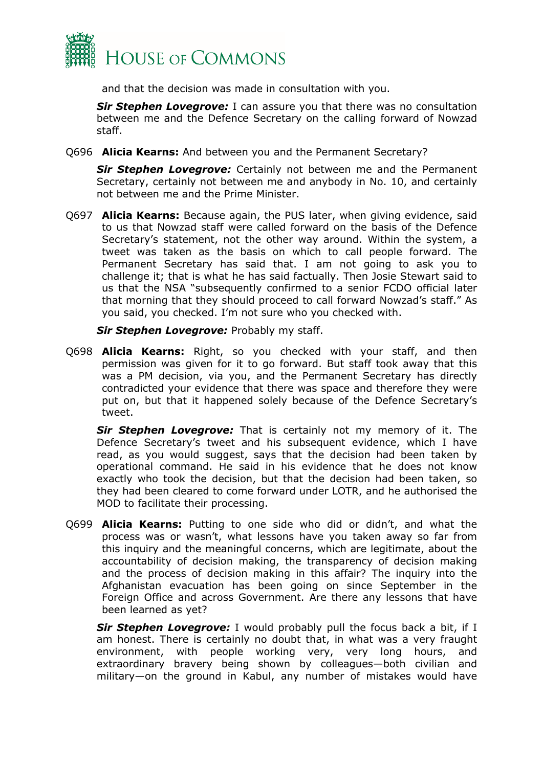

and that the decision was made in consultation with you.

*Sir Stephen Lovegrove:* I can assure you that there was no consultation between me and the Defence Secretary on the calling forward of Nowzad staff.

Q696 **Alicia Kearns:** And between you and the Permanent Secretary?

*Sir Stephen Lovegrove:* Certainly not between me and the Permanent Secretary, certainly not between me and anybody in No. 10, and certainly not between me and the Prime Minister.

Q697 **Alicia Kearns:** Because again, the PUS later, when giving evidence, said to us that Nowzad staff were called forward on the basis of the Defence Secretary's statement, not the other way around. Within the system, a tweet was taken as the basis on which to call people forward. The Permanent Secretary has said that. I am not going to ask you to challenge it; that is what he has said factually. Then Josie Stewart said to us that the NSA "subsequently confirmed to a senior FCDO official later that morning that they should proceed to call forward Nowzad's staff." As you said, you checked. I'm not sure who you checked with.

*Sir Stephen Lovegrove:* Probably my staff.

Q698 **Alicia Kearns:** Right, so you checked with your staff, and then permission was given for it to go forward. But staff took away that this was a PM decision, via you, and the Permanent Secretary has directly contradicted your evidence that there was space and therefore they were put on, but that it happened solely because of the Defence Secretary's tweet.

*Sir Stephen Lovegrove:* That is certainly not my memory of it. The Defence Secretary's tweet and his subsequent evidence, which I have read, as you would suggest, says that the decision had been taken by operational command. He said in his evidence that he does not know exactly who took the decision, but that the decision had been taken, so they had been cleared to come forward under LOTR, and he authorised the MOD to facilitate their processing.

Q699 **Alicia Kearns:** Putting to one side who did or didn't, and what the process was or wasn't, what lessons have you taken away so far from this inquiry and the meaningful concerns, which are legitimate, about the accountability of decision making, the transparency of decision making and the process of decision making in this affair? The inquiry into the Afghanistan evacuation has been going on since September in the Foreign Office and across Government. Are there any lessons that have been learned as yet?

**Sir Stephen Lovegrove:** I would probably pull the focus back a bit, if I am honest. There is certainly no doubt that, in what was a very fraught environment, with people working very, very long hours, and extraordinary bravery being shown by colleagues—both civilian and military—on the ground in Kabul, any number of mistakes would have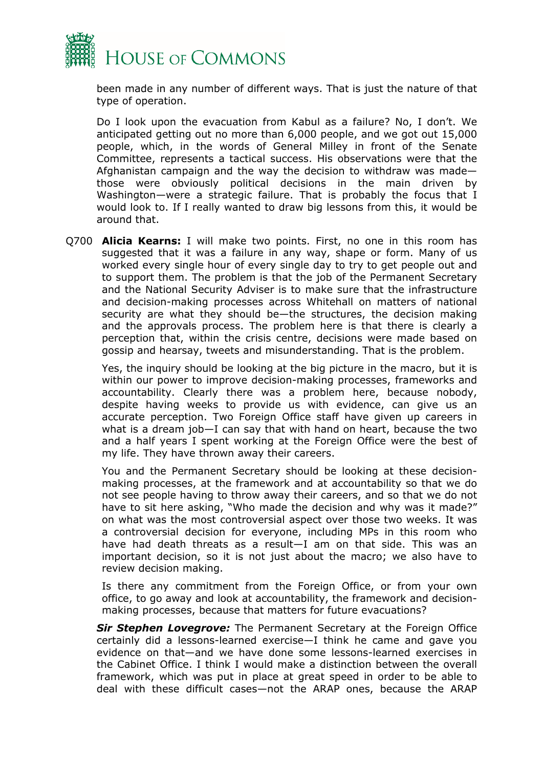

been made in any number of different ways. That is just the nature of that type of operation.

Do I look upon the evacuation from Kabul as a failure? No, I don't. We anticipated getting out no more than 6,000 people, and we got out 15,000 people, which, in the words of General Milley in front of the Senate Committee, represents a tactical success. His observations were that the Afghanistan campaign and the way the decision to withdraw was made those were obviously political decisions in the main driven by Washington—were a strategic failure. That is probably the focus that I would look to. If I really wanted to draw big lessons from this, it would be around that.

Q700 **Alicia Kearns:** I will make two points. First, no one in this room has suggested that it was a failure in any way, shape or form. Many of us worked every single hour of every single day to try to get people out and to support them. The problem is that the job of the Permanent Secretary and the National Security Adviser is to make sure that the infrastructure and decision-making processes across Whitehall on matters of national security are what they should be—the structures, the decision making and the approvals process. The problem here is that there is clearly a perception that, within the crisis centre, decisions were made based on gossip and hearsay, tweets and misunderstanding. That is the problem.

Yes, the inquiry should be looking at the big picture in the macro, but it is within our power to improve decision-making processes, frameworks and accountability. Clearly there was a problem here, because nobody, despite having weeks to provide us with evidence, can give us an accurate perception. Two Foreign Office staff have given up careers in what is a dream job—I can say that with hand on heart, because the two and a half years I spent working at the Foreign Office were the best of my life. They have thrown away their careers.

You and the Permanent Secretary should be looking at these decisionmaking processes, at the framework and at accountability so that we do not see people having to throw away their careers, and so that we do not have to sit here asking, "Who made the decision and why was it made?" on what was the most controversial aspect over those two weeks. It was a controversial decision for everyone, including MPs in this room who have had death threats as a result—I am on that side. This was an important decision, so it is not just about the macro; we also have to review decision making.

Is there any commitment from the Foreign Office, or from your own office, to go away and look at accountability, the framework and decisionmaking processes, because that matters for future evacuations?

*Sir Stephen Lovegrove:* The Permanent Secretary at the Foreign Office certainly did a lessons-learned exercise—I think he came and gave you evidence on that—and we have done some lessons-learned exercises in the Cabinet Office. I think I would make a distinction between the overall framework, which was put in place at great speed in order to be able to deal with these difficult cases—not the ARAP ones, because the ARAP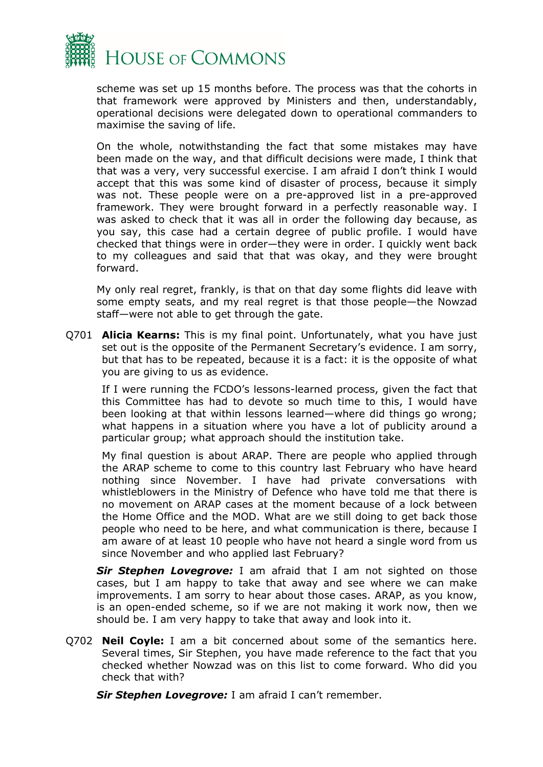

scheme was set up 15 months before. The process was that the cohorts in that framework were approved by Ministers and then, understandably, operational decisions were delegated down to operational commanders to maximise the saving of life.

On the whole, notwithstanding the fact that some mistakes may have been made on the way, and that difficult decisions were made, I think that that was a very, very successful exercise. I am afraid I don't think I would accept that this was some kind of disaster of process, because it simply was not. These people were on a pre-approved list in a pre-approved framework. They were brought forward in a perfectly reasonable way. I was asked to check that it was all in order the following day because, as you say, this case had a certain degree of public profile. I would have checked that things were in order—they were in order. I quickly went back to my colleagues and said that that was okay, and they were brought forward.

My only real regret, frankly, is that on that day some flights did leave with some empty seats, and my real regret is that those people—the Nowzad staff—were not able to get through the gate.

Q701 **Alicia Kearns:** This is my final point. Unfortunately, what you have just set out is the opposite of the Permanent Secretary's evidence. I am sorry, but that has to be repeated, because it is a fact: it is the opposite of what you are giving to us as evidence.

If I were running the FCDO's lessons-learned process, given the fact that this Committee has had to devote so much time to this, I would have been looking at that within lessons learned—where did things go wrong; what happens in a situation where you have a lot of publicity around a particular group; what approach should the institution take.

My final question is about ARAP. There are people who applied through the ARAP scheme to come to this country last February who have heard nothing since November. I have had private conversations with whistleblowers in the Ministry of Defence who have told me that there is no movement on ARAP cases at the moment because of a lock between the Home Office and the MOD. What are we still doing to get back those people who need to be here, and what communication is there, because I am aware of at least 10 people who have not heard a single word from us since November and who applied last February?

*Sir Stephen Lovegrove:* I am afraid that I am not sighted on those cases, but I am happy to take that away and see where we can make improvements. I am sorry to hear about those cases. ARAP, as you know, is an open-ended scheme, so if we are not making it work now, then we should be. I am very happy to take that away and look into it.

Q702 **Neil Coyle:** I am a bit concerned about some of the semantics here. Several times, Sir Stephen, you have made reference to the fact that you checked whether Nowzad was on this list to come forward. Who did you check that with?

*Sir Stephen Lovegrove:* I am afraid I can't remember.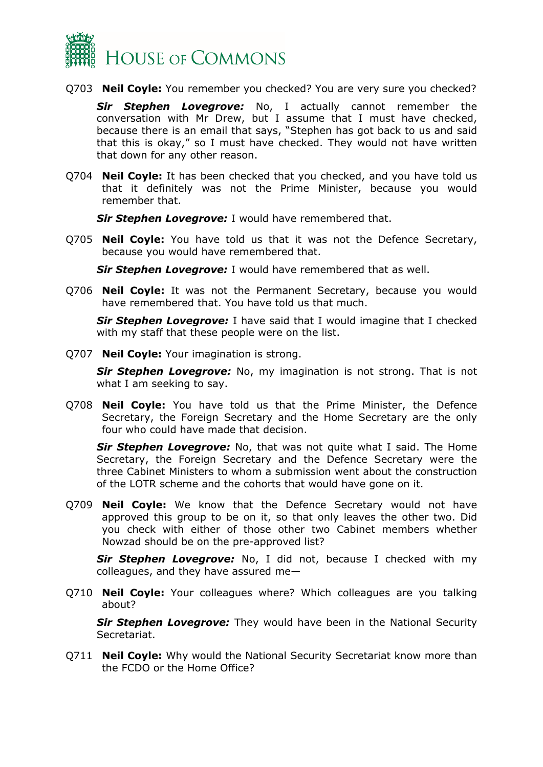

Q703 **Neil Coyle:** You remember you checked? You are very sure you checked?

*Sir Stephen Lovegrove:* No, I actually cannot remember the conversation with Mr Drew, but I assume that I must have checked, because there is an email that says, "Stephen has got back to us and said that this is okay," so I must have checked. They would not have written that down for any other reason.

Q704 **Neil Coyle:** It has been checked that you checked, and you have told us that it definitely was not the Prime Minister, because you would remember that.

*Sir Stephen Lovegrove:* I would have remembered that.

Q705 **Neil Coyle:** You have told us that it was not the Defence Secretary, because you would have remembered that.

*Sir Stephen Lovegrove:* I would have remembered that as well.

Q706 **Neil Coyle:** It was not the Permanent Secretary, because you would have remembered that. You have told us that much.

*Sir Stephen Lovegrove:* I have said that I would imagine that I checked with my staff that these people were on the list.

Q707 **Neil Coyle:** Your imagination is strong.

*Sir Stephen Lovegrove:* No, my imagination is not strong. That is not what I am seeking to say.

Q708 **Neil Coyle:** You have told us that the Prime Minister, the Defence Secretary, the Foreign Secretary and the Home Secretary are the only four who could have made that decision.

*Sir Stephen Lovegrove:* No, that was not quite what I said. The Home Secretary, the Foreign Secretary and the Defence Secretary were the three Cabinet Ministers to whom a submission went about the construction of the LOTR scheme and the cohorts that would have gone on it.

Q709 **Neil Coyle:** We know that the Defence Secretary would not have approved this group to be on it, so that only leaves the other two. Did you check with either of those other two Cabinet members whether Nowzad should be on the pre-approved list?

*Sir Stephen Lovegrove:* No, I did not, because I checked with my colleagues, and they have assured me—

Q710 **Neil Coyle:** Your colleagues where? Which colleagues are you talking about?

*Sir Stephen Lovegrove:* They would have been in the National Security Secretariat.

Q711 **Neil Coyle:** Why would the National Security Secretariat know more than the FCDO or the Home Office?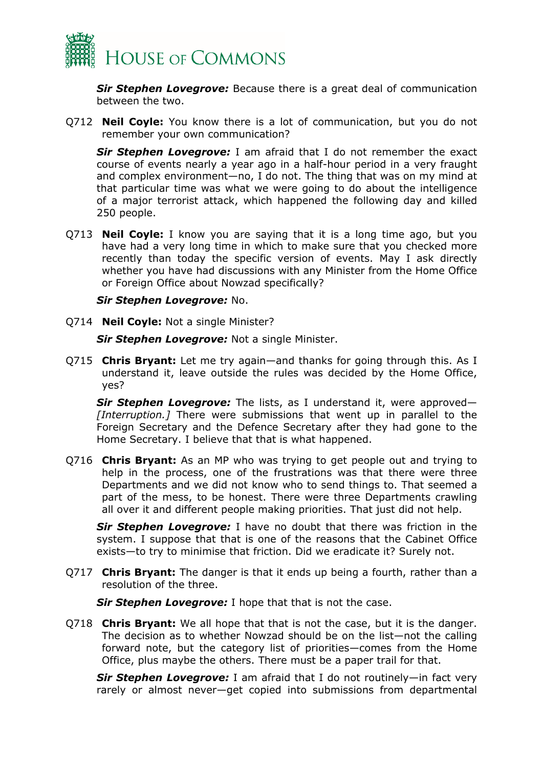

*Sir Stephen Lovegrove:* Because there is a great deal of communication between the two.

Q712 **Neil Coyle:** You know there is a lot of communication, but you do not remember your own communication?

*Sir Stephen Lovegrove:* I am afraid that I do not remember the exact course of events nearly a year ago in a half-hour period in a very fraught and complex environment—no, I do not. The thing that was on my mind at that particular time was what we were going to do about the intelligence of a major terrorist attack, which happened the following day and killed 250 people.

Q713 **Neil Coyle:** I know you are saying that it is a long time ago, but you have had a very long time in which to make sure that you checked more recently than today the specific version of events. May I ask directly whether you have had discussions with any Minister from the Home Office or Foreign Office about Nowzad specifically?

*Sir Stephen Lovegrove:* No.

Q714 **Neil Coyle:** Not a single Minister?

*Sir Stephen Lovegrove:* Not a single Minister.

Q715 **Chris Bryant:** Let me try again—and thanks for going through this. As I understand it, leave outside the rules was decided by the Home Office, yes?

*Sir Stephen Lovegrove:* The lists, as I understand it, were approved— *[Interruption.]* There were submissions that went up in parallel to the Foreign Secretary and the Defence Secretary after they had gone to the Home Secretary. I believe that that is what happened.

Q716 **Chris Bryant:** As an MP who was trying to get people out and trying to help in the process, one of the frustrations was that there were three Departments and we did not know who to send things to. That seemed a part of the mess, to be honest. There were three Departments crawling all over it and different people making priorities. That just did not help.

*Sir Stephen Lovegrove:* I have no doubt that there was friction in the system. I suppose that that is one of the reasons that the Cabinet Office exists—to try to minimise that friction. Did we eradicate it? Surely not.

Q717 **Chris Bryant:** The danger is that it ends up being a fourth, rather than a resolution of the three.

*Sir Stephen Lovegrove:* I hope that that is not the case.

Q718 **Chris Bryant:** We all hope that that is not the case, but it is the danger. The decision as to whether Nowzad should be on the list—not the calling forward note, but the category list of priorities—comes from the Home Office, plus maybe the others. There must be a paper trail for that.

*Sir Stephen Lovegrove:* I am afraid that I do not routinely—in fact very rarely or almost never—get copied into submissions from departmental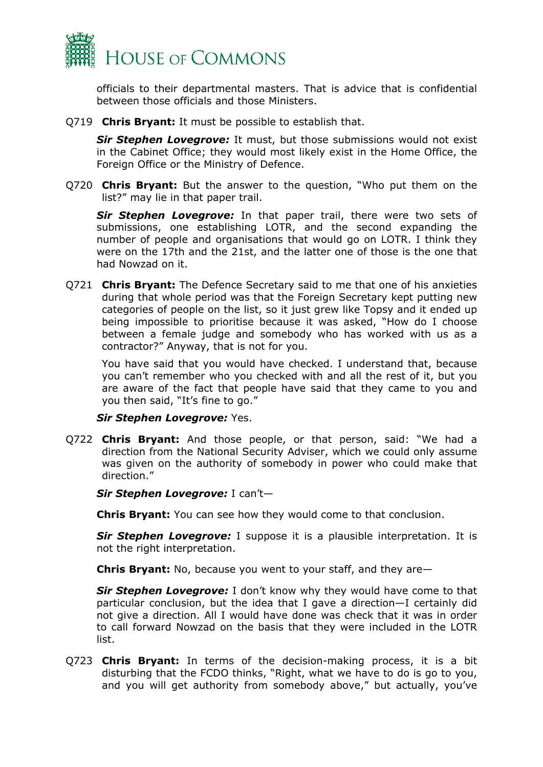

officials to their departmental masters. That is advice that is confidential between those officials and those Ministers.

Q719 **Chris Bryant:** It must be possible to establish that.

*Sir Stephen Lovegrove:* It must, but those submissions would not exist in the Cabinet Office; they would most likely exist in the Home Office, the Foreign Office or the Ministry of Defence.

Q720 **Chris Bryant:** But the answer to the question, "Who put them on the list?" may lie in that paper trail.

*Sir Stephen Lovegrove:* In that paper trail, there were two sets of submissions, one establishing LOTR, and the second expanding the number of people and organisations that would go on LOTR. I think they were on the 17th and the 21st, and the latter one of those is the one that had Nowzad on it.

Q721 **Chris Bryant:** The Defence Secretary said to me that one of his anxieties during that whole period was that the Foreign Secretary kept putting new categories of people on the list, so it just grew like Topsy and it ended up being impossible to prioritise because it was asked, "How do I choose between a female judge and somebody who has worked with us as a contractor?" Anyway, that is not for you.

You have said that you would have checked. I understand that, because you can't remember who you checked with and all the rest of it, but you are aware of the fact that people have said that they came to you and you then said, "It's fine to go."

#### *Sir Stephen Lovegrove:* Yes.

Q722 **Chris Bryant:** And those people, or that person, said: "We had a direction from the National Security Adviser, which we could only assume was given on the authority of somebody in power who could make that direction."

*Sir Stephen Lovegrove:* I can't—

**Chris Bryant:** You can see how they would come to that conclusion.

*Sir Stephen Lovegrove:* I suppose it is a plausible interpretation. It is not the right interpretation.

**Chris Bryant:** No, because you went to your staff, and they are—

**Sir Stephen Lovegrove:** I don't know why they would have come to that particular conclusion, but the idea that I gave a direction—I certainly did not give a direction. All I would have done was check that it was in order to call forward Nowzad on the basis that they were included in the LOTR list.

Q723 **Chris Bryant:** In terms of the decision-making process, it is a bit disturbing that the FCDO thinks, "Right, what we have to do is go to you, and you will get authority from somebody above," but actually, you've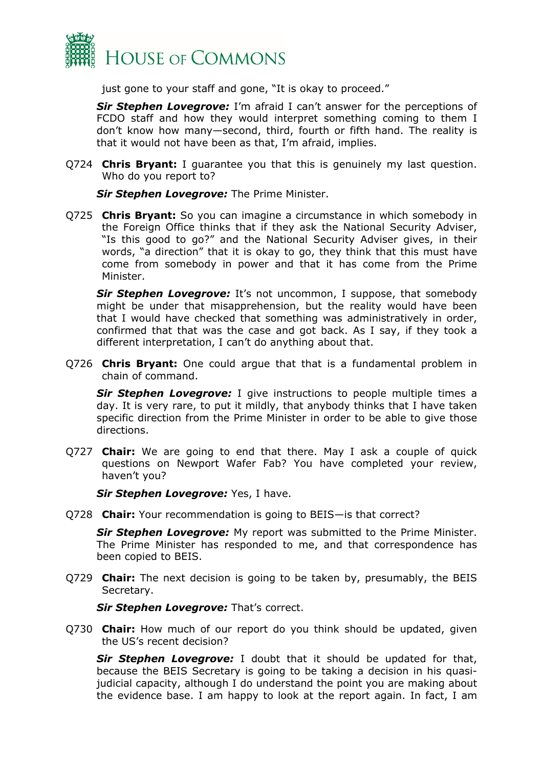

just gone to your staff and gone, "It is okay to proceed."

*Sir Stephen Lovegrove:* I'm afraid I can't answer for the perceptions of FCDO staff and how they would interpret something coming to them I don't know how many—second, third, fourth or fifth hand. The reality is that it would not have been as that, I'm afraid, implies.

Q724 **Chris Bryant:** I guarantee you that this is genuinely my last question. Who do you report to?

*Sir Stephen Lovegrove:* The Prime Minister.

Q725 **Chris Bryant:** So you can imagine a circumstance in which somebody in the Foreign Office thinks that if they ask the National Security Adviser, "Is this good to go?" and the National Security Adviser gives, in their words, "a direction" that it is okay to go, they think that this must have come from somebody in power and that it has come from the Prime Minister.

**Sir Stephen Lovegrove:** It's not uncommon, I suppose, that somebody might be under that misapprehension, but the reality would have been that I would have checked that something was administratively in order, confirmed that that was the case and got back. As I say, if they took a different interpretation, I can't do anything about that.

Q726 **Chris Bryant:** One could argue that that is a fundamental problem in chain of command.

**Sir Stephen Lovegrove:** I give instructions to people multiple times a day. It is very rare, to put it mildly, that anybody thinks that I have taken specific direction from the Prime Minister in order to be able to give those directions.

Q727 **Chair:** We are going to end that there. May I ask a couple of quick questions on Newport Wafer Fab? You have completed your review, haven't you?

*Sir Stephen Lovegrove:* Yes, I have.

Q728 **Chair:** Your recommendation is going to BEIS—is that correct?

*Sir Stephen Lovegrove:* My report was submitted to the Prime Minister. The Prime Minister has responded to me, and that correspondence has been copied to BEIS.

Q729 **Chair:** The next decision is going to be taken by, presumably, the BEIS Secretary.

*Sir Stephen Lovegrove:* That's correct.

Q730 **Chair:** How much of our report do you think should be updated, given the US's recent decision?

*Sir Stephen Lovegrove:* I doubt that it should be updated for that, because the BEIS Secretary is going to be taking a decision in his quasijudicial capacity, although I do understand the point you are making about the evidence base. I am happy to look at the report again. In fact, I am